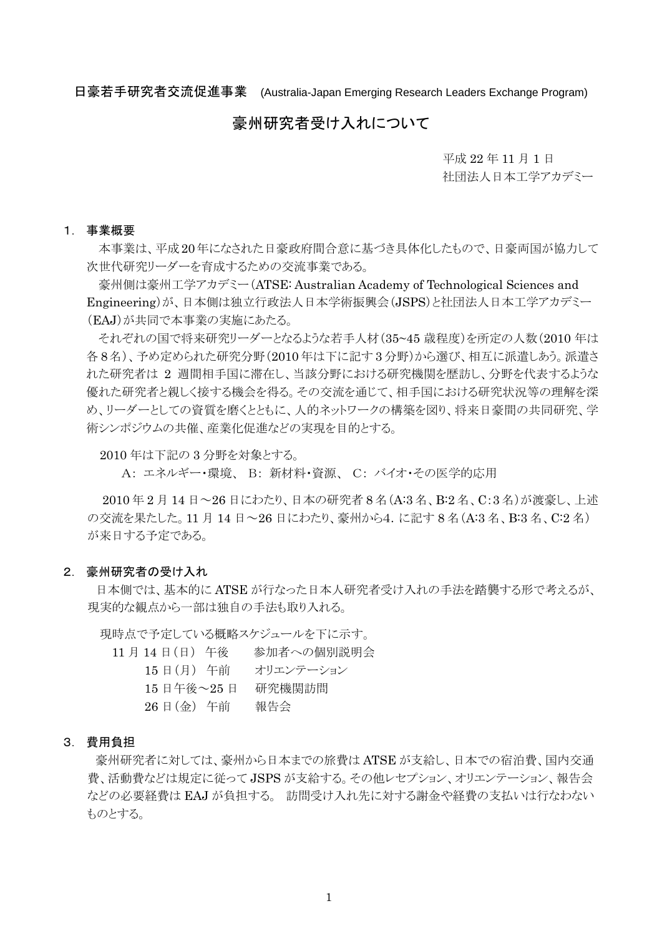日豪若手研究者交流促進事業 (Australia-Japan Emerging Research Leaders Exchange Program)

# 豪州研究者受け入れについて

 平成 <sup>22</sup> <sup>年</sup> <sup>11</sup> <sup>月</sup> <sup>1</sup> <sup>日</sup> 社団法人日本工学アカデミー

### 1. 事業概要

本事業は、平成20年になされた日豪政府間合意に基づき具体化したもので、日豪両国が協力して 次世代研究リーダーを育成するための交流事業である。

豪州側は豪州工学アカデミー(ATSE: Australian Academy of Technological Sciences and Engineering)が、日本側は独立行政法人日本学術振興会(JSPS)と社団法人日本工学アカデミー (EAJ)が共同で本事業の実施にあたる。

それぞれの国で将来研究リーダーとなるような若手人材(35~45 歳程度)を所定の人数(2010 年は 各 8 名)、予め定められた研究分野(2010 年は下に記す 3 分野)から選び、相互に派遣しあう。派遣さ れた研究者は 2 週間相手国に滞在し、当該分野における研究機関を歴訪し、分野を代表するような 優れた研究者と親しく接する機会を得る。その交流を通じて、相手国における研究状況等の理解を深 め、リーダーとしての資質を磨くとともに、人的ネットワークの構築を図り、将来日豪間の共同研究、学 術シンポジウムの共催、産業化促進などの実現を目的とする。

2010 年は下記の 3 分野を対象とする。

A: エネルギー・環境、 B: 新材料・資源、 C: バイオ・その医学的応用

 2010 年 2 月 14 日~26 日にわたり、日本の研究者 8 名(A:3 名、B:2 名、C:3 名)が渡豪し、上述 の交流を果たした。11 月 14 日~26 日にわたり、豪州から4. に記す 8名 (A:3名、B:3名、C:2名) が来日する予定である。

### 2. 豪州研究者の受け入れ

 日本側では、基本的に ATSE が行なった日本人研究者受け入れの手法を踏襲する形で考えるが、 現実的な観点から一部は独自の手法も取り入れる。

現時点で予定している概略スケジュールを下に示す。

- 11 月 14 日(日) 午後 参加者への個別説明会
	- 15 日(月) 午前 オリエンテーション
	- 15 日午後~25 日 研究機関訪問
	- 26 日(金) 午前 報告会

#### 3. 費用負担

 豪州研究者に対しては、豪州から日本までの旅費は ATSE が支給し、日本での宿泊費、国内交通 費、活動費などは規定に従って JSPS が支給する。その他レセプション、オリエンテーション、報告会 などの必要経費は EAJ が負担する。 訪問受け入れ先に対する謝金や経費の支払いは行なわない ものとする。